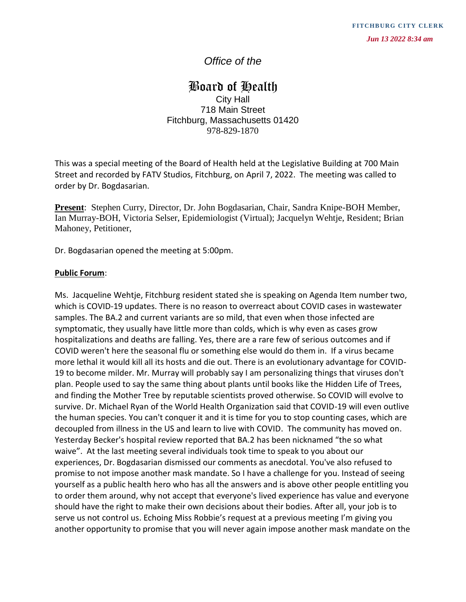# *Office of the*

## Board of Health City Hall 718 Main Street Fitchburg, Massachusetts 01420 978-829-1870

This was a special meeting of the Board of Health held at the Legislative Building at 700 Main Street and recorded by FATV Studios, Fitchburg, on April 7, 2022. The meeting was called to order by Dr. Bogdasarian.

**Present**: Stephen Curry, Director, Dr. John Bogdasarian, Chair, Sandra Knipe-BOH Member, Ian Murray-BOH, Victoria Selser, Epidemiologist (Virtual); Jacquelyn Wehtje, Resident; Brian Mahoney, Petitioner,

Dr. Bogdasarian opened the meeting at 5:00pm.

#### **Public Forum**:

Ms. Jacqueline Wehtje, Fitchburg resident stated she is speaking on Agenda Item number two, which is COVID-19 updates. There is no reason to overreact about COVID cases in wastewater samples. The BA.2 and current variants are so mild, that even when those infected are symptomatic, they usually have little more than colds, which is why even as cases grow hospitalizations and deaths are falling. Yes, there are a rare few of serious outcomes and if COVID weren't here the seasonal flu or something else would do them in. If a virus became more lethal it would kill all its hosts and die out. There is an evolutionary advantage for COVID-19 to become milder. Mr. Murray will probably say I am personalizing things that viruses don't plan. People used to say the same thing about plants until books like the Hidden Life of Trees, and finding the Mother Tree by reputable scientists proved otherwise. So COVID will evolve to survive. Dr. Michael Ryan of the World Health Organization said that COVID-19 will even outlive the human species. You can't conquer it and it is time for you to stop counting cases, which are decoupled from illness in the US and learn to live with COVID. The community has moved on. Yesterday Becker's hospital review reported that BA.2 has been nicknamed "the so what waive". At the last meeting several individuals took time to speak to you about our experiences, Dr. Bogdasarian dismissed our comments as anecdotal. You've also refused to promise to not impose another mask mandate. So I have a challenge for you. Instead of seeing yourself as a public health hero who has all the answers and is above other people entitling you to order them around, why not accept that everyone's lived experience has value and everyone should have the right to make their own decisions about their bodies. After all, your job is to serve us not control us. Echoing Miss Robbie's request at a previous meeting I'm giving you First manner of the **another of the state of the state of the state of the state of the state of the state of the state of the state of the state of the state of the state of the state of the state of the state of the stat**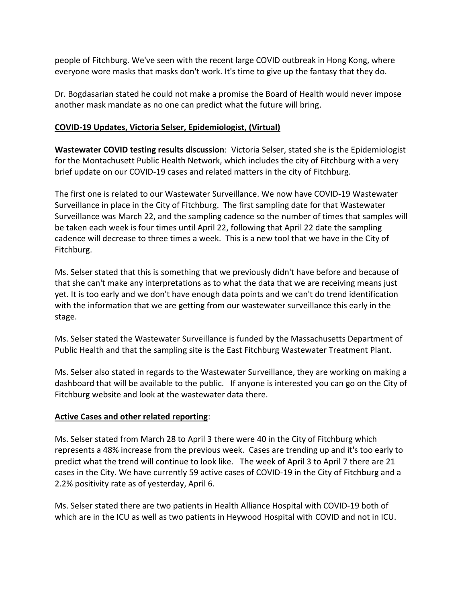people of Fitchburg. We've seen with the recent large COVID outbreak in Hong Kong, where everyone wore masks that masks don't work. It's time to give up the fantasy that they do.

Dr. Bogdasarian stated he could not make a promise the Board of Health would never impose another mask mandate as no one can predict what the future will bring.

## **COVID-19 Updates, Victoria Selser, Epidemiologist, (Virtual)**

**Wastewater COVID testing results discussion**: Victoria Selser, stated she is the Epidemiologist for the Montachusett Public Health Network, which includes the city of Fitchburg with a very brief update on our COVID-19 cases and related matters in the city of Fitchburg.

The first one is related to our Wastewater Surveillance. We now have COVID-19 Wastewater Surveillance in place in the City of Fitchburg. The first sampling date for that Wastewater Surveillance was March 22, and the sampling cadence so the number of times that samples will be taken each week is four times until April 22, following that April 22 date the sampling cadence will decrease to three times a week. This is a new tool that we have in the City of Fitchburg.

Ms. Selser stated that this is something that we previously didn't have before and because of that she can't make any interpretations as to what the data that we are receiving means just yet. It is too early and we don't have enough data points and we can't do trend identification with the information that we are getting from our wastewater surveillance this early in the stage.

Ms. Selser stated the Wastewater Surveillance is funded by the Massachusetts Department of Public Health and that the sampling site is the East Fitchburg Wastewater Treatment Plant.

Ms. Selser also stated in regards to the Wastewater Surveillance, they are working on making a dashboard that will be available to the public. If anyone is interested you can go on the City of Fitchburg website and look at the wastewater data there.

## **Active Cases and other related reporting**:

Ms. Selser stated from March 28 to April 3 there were 40 in the City of Fitchburg which represents a 48% increase from the previous week. Cases are trending up and it's too early to predict what the trend will continue to look like. The week of April 3 to April 7 there are 21 cases in the City. We have currently 59 active cases of COVID-19 in the City of Fitchburg and a 2.2% positivity rate as of yesterday, April 6.

Ms. Selser stated there are two patients in Health Alliance Hospital with COVID-19 both of which are in the ICU as well as two patients in Heywood Hospital with COVID and not in ICU.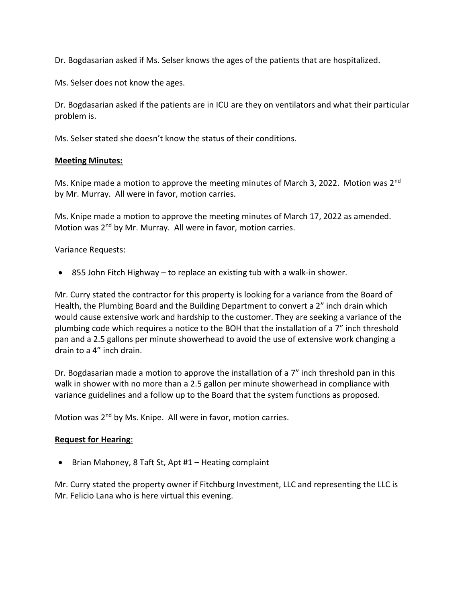Dr. Bogdasarian asked if Ms. Selser knows the ages of the patients that are hospitalized.

Ms. Selser does not know the ages.

Dr. Bogdasarian asked if the patients are in ICU are they on ventilators and what their particular problem is.

Ms. Selser stated she doesn't know the status of their conditions.

#### **Meeting Minutes:**

Ms. Knipe made a motion to approve the meeting minutes of March 3, 2022. Motion was 2<sup>nd</sup> by Mr. Murray. All were in favor, motion carries.

Ms. Knipe made a motion to approve the meeting minutes of March 17, 2022 as amended. Motion was 2<sup>nd</sup> by Mr. Murray. All were in favor, motion carries.

Variance Requests:

855 John Fitch Highway – to replace an existing tub with a walk-in shower.

Mr. Curry stated the contractor for this property is looking for a variance from the Board of Health, the Plumbing Board and the Building Department to convert a 2" inch drain which would cause extensive work and hardship to the customer. They are seeking a variance of the plumbing code which requires a notice to the BOH that the installation of a 7" inch threshold pan and a 2.5 gallons per minute showerhead to avoid the use of extensive work changing a drain to a 4" inch drain.

Dr. Bogdasarian made a motion to approve the installation of a 7" inch threshold pan in this walk in shower with no more than a 2.5 gallon per minute showerhead in compliance with variance guidelines and a follow up to the Board that the system functions as proposed.

Motion was 2<sup>nd</sup> by Ms. Knipe. All were in favor, motion carries.

#### **Request for Hearing**:

• Brian Mahoney, 8 Taft St, Apt #1 – Heating complaint

Mr. Curry stated the property owner if Fitchburg Investment, LLC and representing the LLC is Mr. Felicio Lana who is here virtual this evening.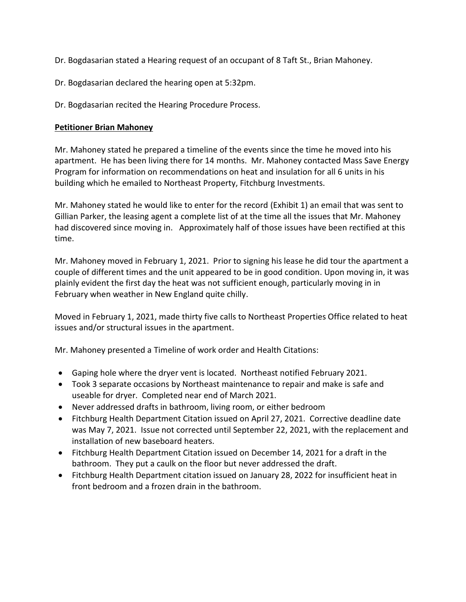Dr. Bogdasarian stated a Hearing request of an occupant of 8 Taft St., Brian Mahoney.

Dr. Bogdasarian declared the hearing open at 5:32pm.

Dr. Bogdasarian recited the Hearing Procedure Process.

## **Petitioner Brian Mahoney**

Mr. Mahoney stated he prepared a timeline of the events since the time he moved into his apartment. He has been living there for 14 months. Mr. Mahoney contacted Mass Save Energy Program for information on recommendations on heat and insulation for all 6 units in his building which he emailed to Northeast Property, Fitchburg Investments.

Mr. Mahoney stated he would like to enter for the record (Exhibit 1) an email that was sent to Gillian Parker, the leasing agent a complete list of at the time all the issues that Mr. Mahoney had discovered since moving in. Approximately half of those issues have been rectified at this time.

Mr. Mahoney moved in February 1, 2021. Prior to signing his lease he did tour the apartment a couple of different times and the unit appeared to be in good condition. Upon moving in, it was plainly evident the first day the heat was not sufficient enough, particularly moving in in February when weather in New England quite chilly.

Moved in February 1, 2021, made thirty five calls to Northeast Properties Office related to heat issues and/or structural issues in the apartment.

Mr. Mahoney presented a Timeline of work order and Health Citations:

- Gaping hole where the dryer vent is located. Northeast notified February 2021.
- Took 3 separate occasions by Northeast maintenance to repair and make is safe and useable for dryer. Completed near end of March 2021.
- Never addressed drafts in bathroom, living room, or either bedroom
- Fitchburg Health Department Citation issued on April 27, 2021. Corrective deadline date was May 7, 2021. Issue not corrected until September 22, 2021, with the replacement and installation of new baseboard heaters.
- Fitchburg Health Department Citation issued on December 14, 2021 for a draft in the bathroom. They put a caulk on the floor but never addressed the draft.
- Fitchburg Health Department citation issued on January 28, 2022 for insufficient heat in front bedroom and a frozen drain in the bathroom.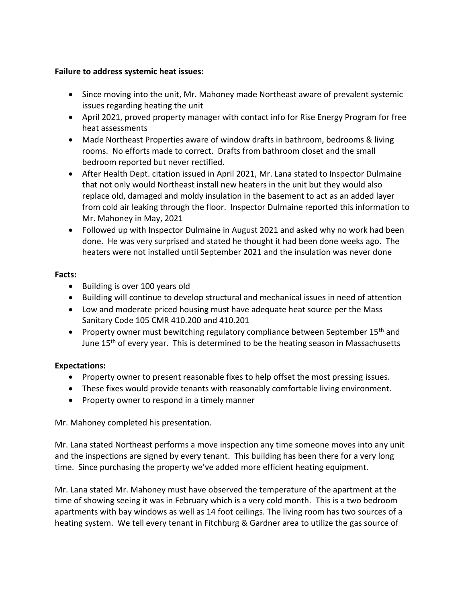#### **Failure to address systemic heat issues:**

- Since moving into the unit, Mr. Mahoney made Northeast aware of prevalent systemic issues regarding heating the unit
- April 2021, proved property manager with contact info for Rise Energy Program for free heat assessments
- Made Northeast Properties aware of window drafts in bathroom, bedrooms & living rooms. No efforts made to correct. Drafts from bathroom closet and the small bedroom reported but never rectified.
- After Health Dept. citation issued in April 2021, Mr. Lana stated to Inspector Dulmaine that not only would Northeast install new heaters in the unit but they would also replace old, damaged and moldy insulation in the basement to act as an added layer from cold air leaking through the floor. Inspector Dulmaine reported this information to Mr. Mahoney in May, 2021
- Followed up with Inspector Dulmaine in August 2021 and asked why no work had been done. He was very surprised and stated he thought it had been done weeks ago. The heaters were not installed until September 2021 and the insulation was never done

#### **Facts:**

- Building is over 100 years old
- Building will continue to develop structural and mechanical issues in need of attention
- Low and moderate priced housing must have adequate heat source per the Mass Sanitary Code 105 CMR 410.200 and 410.201
- Property owner must bewitching regulatory compliance between September 15<sup>th</sup> and June 15<sup>th</sup> of every year. This is determined to be the heating season in Massachusetts

## **Expectations:**

- Property owner to present reasonable fixes to help offset the most pressing issues.
- These fixes would provide tenants with reasonably comfortable living environment.
- Property owner to respond in a timely manner

Mr. Mahoney completed his presentation.

Mr. Lana stated Northeast performs a move inspection any time someone moves into any unit and the inspections are signed by every tenant. This building has been there for a very long time. Since purchasing the property we've added more efficient heating equipment.

Mr. Lana stated Mr. Mahoney must have observed the temperature of the apartment at the time of showing seeing it was in February which is a very cold month. This is a two bedroom apartments with bay windows as well as 14 foot ceilings. The living room has two sources of a heating system. We tell every tenant in Fitchburg & Gardner area to utilize the gas source of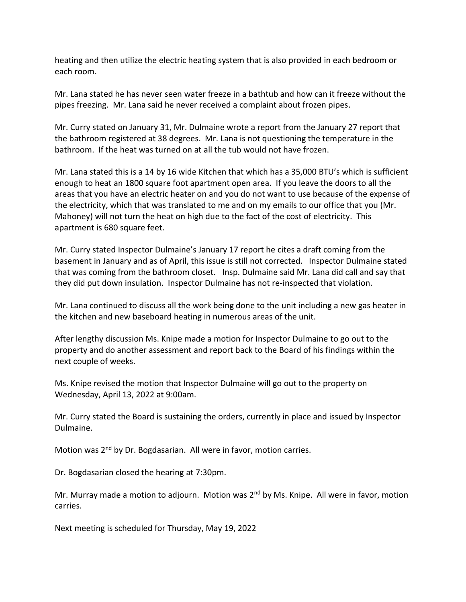heating and then utilize the electric heating system that is also provided in each bedroom or each room.

Mr. Lana stated he has never seen water freeze in a bathtub and how can it freeze without the pipes freezing. Mr. Lana said he never received a complaint about frozen pipes.

Mr. Curry stated on January 31, Mr. Dulmaine wrote a report from the January 27 report that the bathroom registered at 38 degrees. Mr. Lana is not questioning the temperature in the bathroom. If the heat was turned on at all the tub would not have frozen.

Mr. Lana stated this is a 14 by 16 wide Kitchen that which has a 35,000 BTU's which is sufficient enough to heat an 1800 square foot apartment open area. If you leave the doors to all the areas that you have an electric heater on and you do not want to use because of the expense of the electricity, which that was translated to me and on my emails to our office that you (Mr. Mahoney) will not turn the heat on high due to the fact of the cost of electricity. This apartment is 680 square feet.

Mr. Curry stated Inspector Dulmaine's January 17 report he cites a draft coming from the basement in January and as of April, this issue is still not corrected. Inspector Dulmaine stated that was coming from the bathroom closet. Insp. Dulmaine said Mr. Lana did call and say that they did put down insulation. Inspector Dulmaine has not re-inspected that violation.

Mr. Lana continued to discuss all the work being done to the unit including a new gas heater in the kitchen and new baseboard heating in numerous areas of the unit.

After lengthy discussion Ms. Knipe made a motion for Inspector Dulmaine to go out to the property and do another assessment and report back to the Board of his findings within the next couple of weeks.

Ms. Knipe revised the motion that Inspector Dulmaine will go out to the property on Wednesday, April 13, 2022 at 9:00am.

Mr. Curry stated the Board is sustaining the orders, currently in place and issued by Inspector Dulmaine.

Motion was  $2<sup>nd</sup>$  by Dr. Bogdasarian. All were in favor, motion carries.

Dr. Bogdasarian closed the hearing at 7:30pm.

Mr. Murray made a motion to adjourn. Motion was  $2^{nd}$  by Ms. Knipe. All were in favor, motion carries.

Next meeting is scheduled for Thursday, May 19, 2022